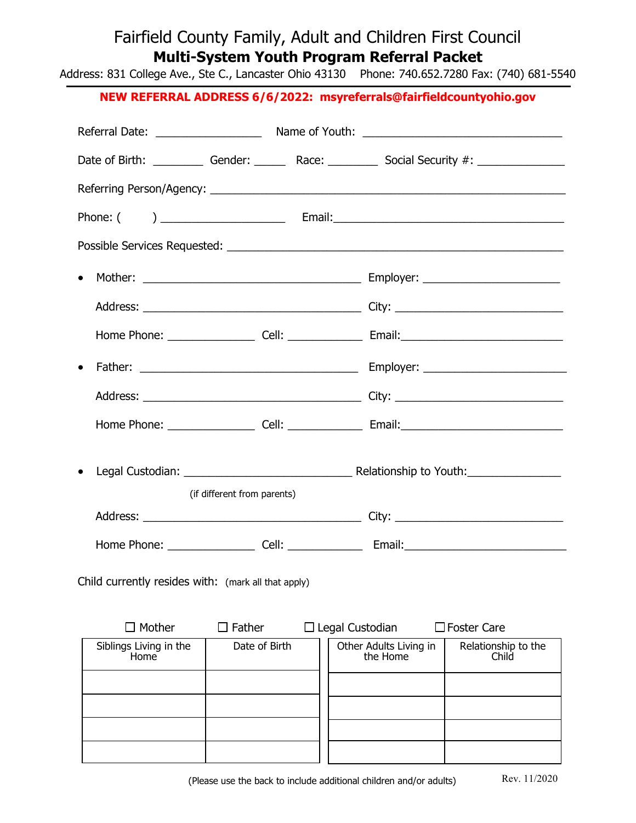## Fairfield County Family, Adult and Children First Council **Multi-System Youth Program Referral Packet**

Address: 831 College Ave., Ste C., Lancaster Ohio 43130 Phone: 740.652.7280 Fax: (740) 681-5540

## **NEW REFERRAL ADDRESS 6/6/2022: msyreferrals@fairfieldcountyohio.gov**

| Date of Birth: ____________ Gender: _________ Race: ____________ Social Security #: ________________ |                             |                                    |                              |  |  |
|------------------------------------------------------------------------------------------------------|-----------------------------|------------------------------------|------------------------------|--|--|
|                                                                                                      |                             |                                    |                              |  |  |
|                                                                                                      |                             |                                    |                              |  |  |
|                                                                                                      |                             |                                    |                              |  |  |
| $\bullet$                                                                                            |                             |                                    |                              |  |  |
|                                                                                                      |                             |                                    |                              |  |  |
|                                                                                                      |                             |                                    |                              |  |  |
| $\bullet$                                                                                            |                             |                                    |                              |  |  |
|                                                                                                      |                             |                                    |                              |  |  |
|                                                                                                      |                             |                                    |                              |  |  |
|                                                                                                      | (if different from parents) |                                    |                              |  |  |
|                                                                                                      |                             |                                    |                              |  |  |
|                                                                                                      |                             |                                    |                              |  |  |
| Child currently resides with: (mark all that apply)                                                  |                             |                                    |                              |  |  |
| $\Box$ Mother                                                                                        | $\Box$ Father               | $\Box$ Legal Custodian             | $\square$ Foster Care        |  |  |
| Siblings Living in the<br>Home                                                                       | Date of Birth               | Other Adults Living in<br>the Home | Relationship to the<br>Child |  |  |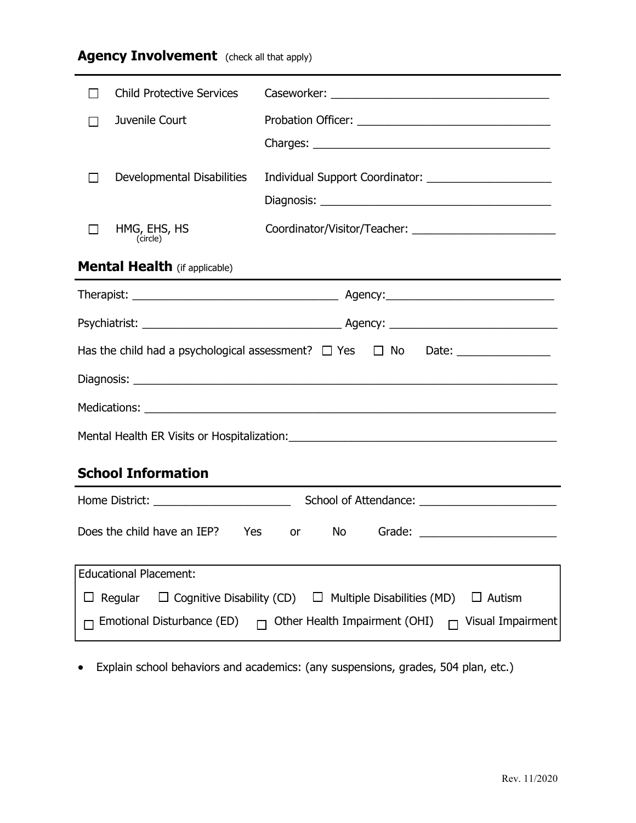| l a                                                                                                | <b>Child Protective Services</b>                                                         |                                  |  |  |  |
|----------------------------------------------------------------------------------------------------|------------------------------------------------------------------------------------------|----------------------------------|--|--|--|
| l a                                                                                                | Juvenile Court                                                                           |                                  |  |  |  |
|                                                                                                    |                                                                                          |                                  |  |  |  |
| $\mathbf{I}$                                                                                       | Developmental Disabilities                                                               |                                  |  |  |  |
|                                                                                                    |                                                                                          |                                  |  |  |  |
| $\mathsf{L}$                                                                                       | HMG, EHS, HS<br>(circle)                                                                 |                                  |  |  |  |
|                                                                                                    | <b>Mental Health</b> (if applicable)                                                     |                                  |  |  |  |
|                                                                                                    |                                                                                          |                                  |  |  |  |
|                                                                                                    |                                                                                          |                                  |  |  |  |
|                                                                                                    |                                                                                          |                                  |  |  |  |
|                                                                                                    |                                                                                          |                                  |  |  |  |
|                                                                                                    |                                                                                          |                                  |  |  |  |
| Mental Health ER Visits or Hospitalization: Manual Mental Mental Mental Mental Mental Mental Media |                                                                                          |                                  |  |  |  |
| <b>School Information</b>                                                                          |                                                                                          |                                  |  |  |  |
|                                                                                                    |                                                                                          |                                  |  |  |  |
|                                                                                                    | Home District: _________________________                                                 |                                  |  |  |  |
|                                                                                                    | Does the child have an IEP?<br>Yes                                                       | <b>No</b><br>Grade:<br><b>or</b> |  |  |  |
| <b>Educational Placement:</b>                                                                      |                                                                                          |                                  |  |  |  |
|                                                                                                    |                                                                                          |                                  |  |  |  |
| $\Box$ Cognitive Disability (CD) $\Box$ Multiple Disabilities (MD)<br>Regular<br>$\Box$ Autism     |                                                                                          |                                  |  |  |  |
|                                                                                                    | Emotional Disturbance (ED) $\Box$ Other Health Impairment (OHI) $\Box$ Visual Impairment |                                  |  |  |  |
|                                                                                                    |                                                                                          |                                  |  |  |  |

## **Agency Involvement** (check all that apply)

• Explain school behaviors and academics: (any suspensions, grades, 504 plan, etc.)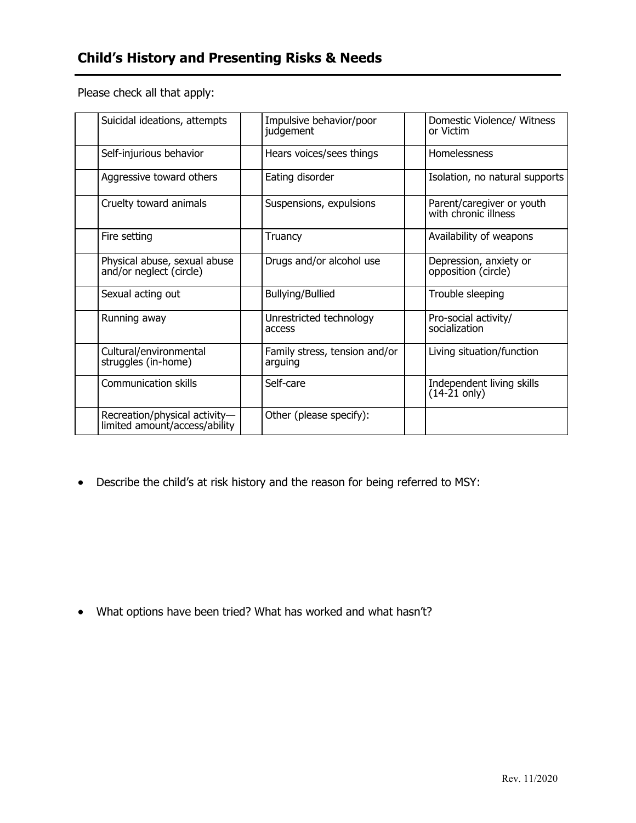Please check all that apply:

| Suicidal ideations, attempts                                   | Impulsive behavior/poor<br>judgement     |  | Domestic Violence/ Witness<br>or Victim             |
|----------------------------------------------------------------|------------------------------------------|--|-----------------------------------------------------|
| Self-injurious behavior                                        | Hears voices/sees things                 |  | <b>Homelessness</b>                                 |
| Aggressive toward others                                       | Eating disorder                          |  | Isolation, no natural supports                      |
| Cruelty toward animals                                         | Suspensions, expulsions                  |  | Parent/caregiver or youth<br>with chronic illness   |
| Fire setting                                                   | Truancy                                  |  | Availability of weapons                             |
| Physical abuse, sexual abuse<br>and/or neglect (circle)        | Drugs and/or alcohol use                 |  | Depression, anxiety or<br>opposition (circle)       |
| Sexual acting out                                              | <b>Bullying/Bullied</b>                  |  | Trouble sleeping                                    |
| Running away                                                   | Unrestricted technology<br>access        |  | Pro-social activity/<br>socialization               |
| Cultural/environmental<br>struggles (in-home)                  | Family stress, tension and/or<br>arguing |  | Living situation/function                           |
| Communication skills                                           | Self-care                                |  | Independent living skills<br>$(14-21 \text{ only})$ |
| Recreation/physical activity-<br>limited amount/access/ability | Other (please specify):                  |  |                                                     |

• Describe the child's at risk history and the reason for being referred to MSY:

• What options have been tried? What has worked and what hasn't?